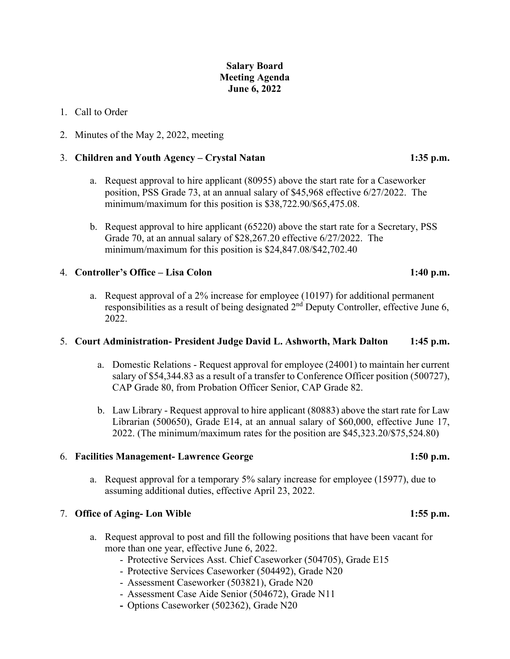# **Salary Board Meeting Agenda June 6, 2022**

### 1. Call to Order

2. Minutes of the May 2, 2022, meeting

## 3. **Children and Youth Agency – Crystal Natan 1:35 p.m.**

- a. Request approval to hire applicant (80955) above the start rate for a Caseworker position, PSS Grade 73, at an annual salary of \$45,968 effective 6/27/2022. The minimum/maximum for this position is \$38,722.90/\$65,475.08.
- b. Request approval to hire applicant (65220) above the start rate for a Secretary, PSS Grade 70, at an annual salary of \$28,267.20 effective 6/27/2022. The minimum/maximum for this position is \$24,847.08/\$42,702.40

## 4. **Controller's Office – Lisa Colon 1:40 p.m.**

a. Request approval of a 2% increase for employee (10197) for additional permanent responsibilities as a result of being designated 2<sup>nd</sup> Deputy Controller, effective June 6, 2022.

### 5. **Court Administration- President Judge David L. Ashworth, Mark Dalton 1:45 p.m.**

- a. Domestic Relations Request approval for employee (24001) to maintain her current salary of \$54,344.83 as a result of a transfer to Conference Officer position (500727), CAP Grade 80, from Probation Officer Senior, CAP Grade 82.
- b. Law Library Request approval to hire applicant (80883) above the start rate for Law Librarian (500650), Grade E14, at an annual salary of \$60,000, effective June 17, 2022. (The minimum/maximum rates for the position are \$45,323.20/\$75,524.80)

### 6. **Facilities Management- Lawrence George 1:50 p.m.**

a. Request approval for a temporary 5% salary increase for employee (15977), due to assuming additional duties, effective April 23, 2022.

# 7. **Office of Aging- Lon Wible 1:55 p.m.**

- a. Request approval to post and fill the following positions that have been vacant for more than one year, effective June 6, 2022.
	- Protective Services Asst. Chief Caseworker (504705), Grade E15
	- Protective Services Caseworker (504492), Grade N20
	- Assessment Caseworker (503821), Grade N20
	- Assessment Case Aide Senior (504672), Grade N11
	- **-** Options Caseworker (502362), Grade N20